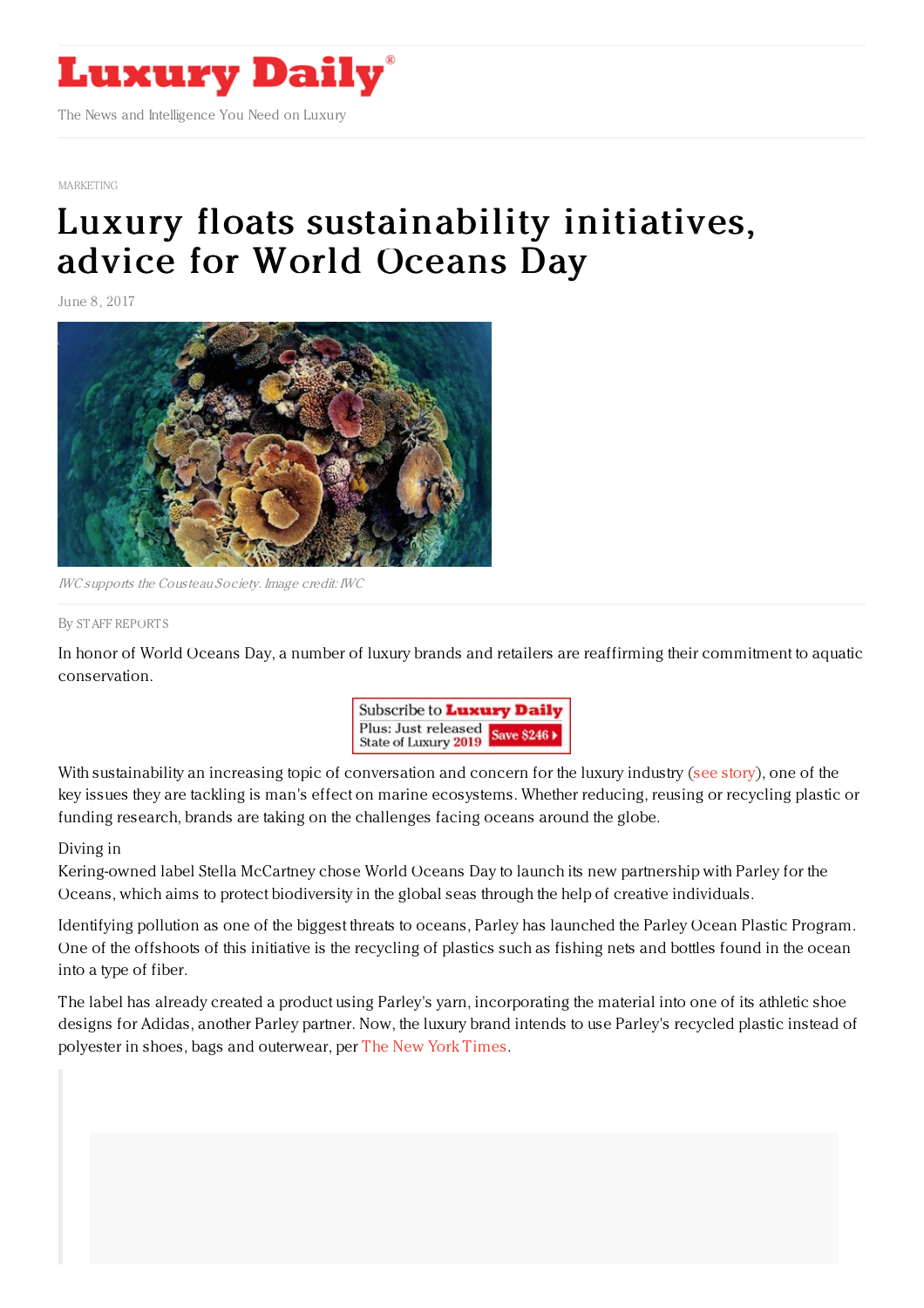

[MARKETING](https://www.luxurydaily.com/category/sectors/marketing-industry-sectors/)

## Luxury floats [sustainability](https://www.luxurydaily.com/luxury-floats-sustainability-initiatives-advice-for-world-oceans-day/) initiatives, advice for World Oceans Day

June 8, 2017



IWC supports the Cousteau Society. Image credit: IWC

## By STAFF [REPORT](file:///author/staff-reports) S

In honor of World Oceans Day, a number of luxury brands and retailers are reaffirming their commitment to aquatic conservation.



With sustainability an increasing topic of conversation and concern for the luxury industry (see [story](https://www.luxurydaily.com/sustainability-is-a-long-term-financial-necessity-not-a-trend/)), one of the key issues they are tackling is man's effect on marine ecosystems. Whether reducing, reusing or recycling plastic or funding research, brands are taking on the challenges facing oceans around the globe.

## Diving in

Kering-owned label Stella McCartney chose World Oceans Day to launch its new partnership with Parley for the Oceans, which aims to protect biodiversity in the global seas through the help of creative individuals.

Identifying pollution as one of the biggest threats to oceans, Parley has launched the Parley Ocean Plastic Program. One of the offshoots of this initiative is the recycling of plastics such as fishing nets and bottles found in the ocean into a type of fiber.

The label has already created a product using Parley's yarn, incorporating the material into one of its athletic shoe designs for Adidas, another Parley partner. Now, the luxury brand intends to use Parley's recycled plastic instead of polyester in shoes, bags and outerwear, per The New York [Times](https://www.nytimes.com/2017/06/06/fashion/stella-mccartney-parley-ocean-plastic.html?_r=0).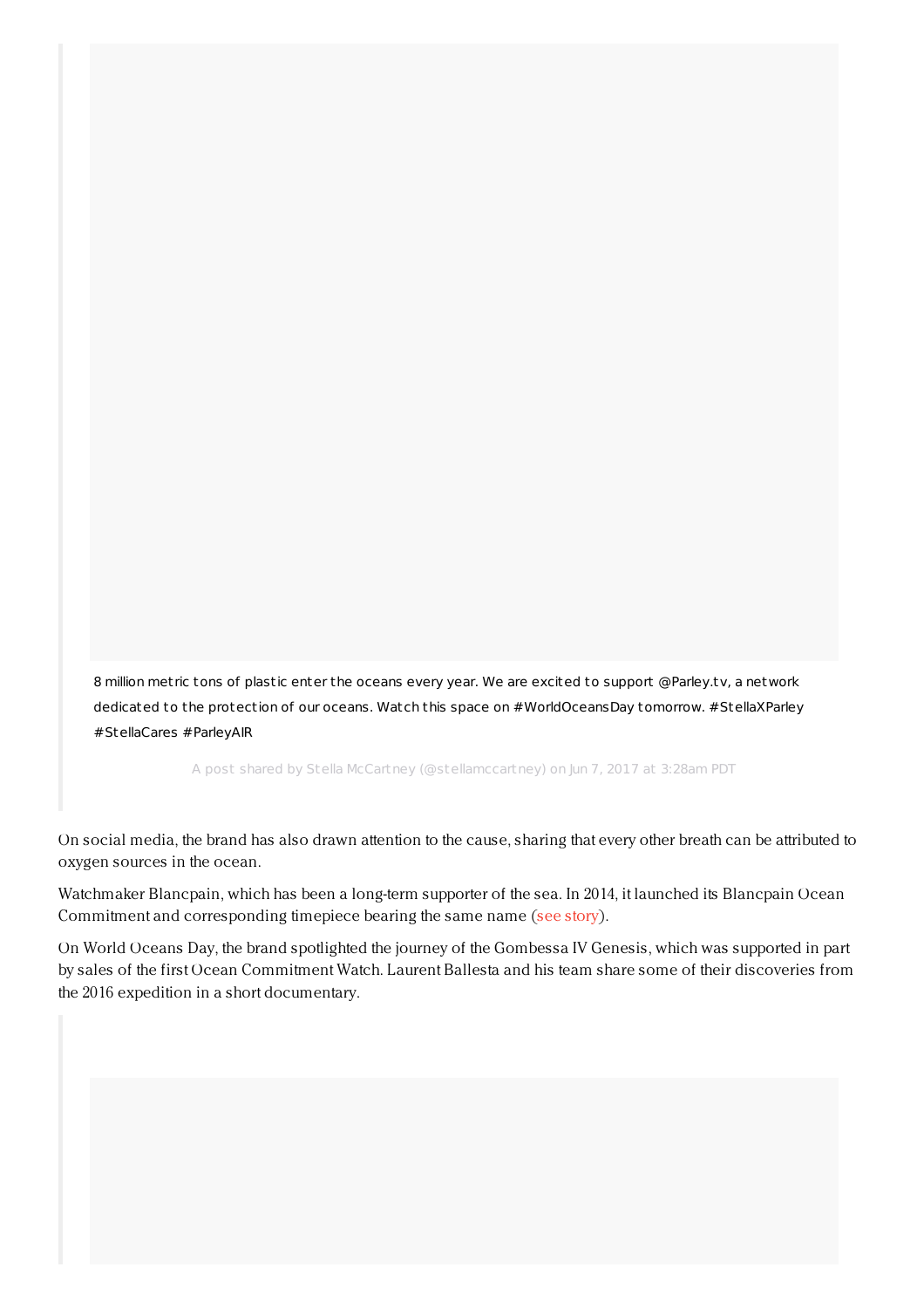8 million met ric tons of plastic enter the oceans every year. We are excited to support @Parley.tv, a network dedicated to the protection of our oceans. Watch this space on [#WorldOceansDay](https://www.instagram.com/p/BVCPYFSF46L/) tomorrow. #StellaXParley #StellaCares #ParleyAIR

A post shared by Stella McCartney (@stellamccartney) on Jun 7, 2017 at 3:28am PDT

On social media, the brand has also drawn attention to the cause, sharing that every other breath can be attributed to oxygen sources in the ocean.

Watchmaker Blancpain, which has been a long-term supporter of the sea. In 2014, it launched its Blancpain Ocean Commitment and corresponding timepiece bearing the same name (see [story](https://www.luxurydaily.com/blancpain-involves-consumers-in-environmental-commitment-with-oceanic-watch-series/)).

On World Oceans Day, the brand spotlighted the journey of the Gombessa IV Genesis, which was supported in part by sales of the first Ocean Commitment Watch. Laurent Ballesta and his team share some of their discoveries from the 2016 expedition in a short documentary.